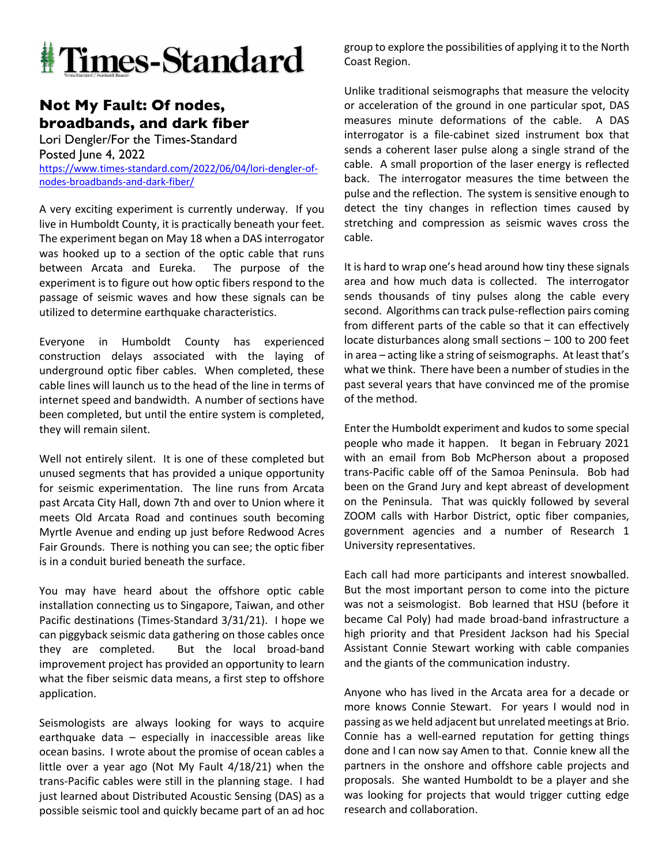

## **Not My Fault: Of nodes, broadbands, and dark fiber**

Lori Dengler/For the Times-Standard Posted June 4, 2022 https://www.times-standard.com/2022/06/04/lori-dengler-ofnodes-broadbands-and-dark-fiber/

A very exciting experiment is currently underway. If you live in Humboldt County, it is practically beneath your feet. The experiment began on May 18 when a DAS interrogator was hooked up to a section of the optic cable that runs between Arcata and Eureka. The purpose of the experiment is to figure out how optic fibers respond to the passage of seismic waves and how these signals can be utilized to determine earthquake characteristics.

Everyone in Humboldt County has experienced construction delays associated with the laying of underground optic fiber cables. When completed, these cable lines will launch us to the head of the line in terms of internet speed and bandwidth. A number of sections have been completed, but until the entire system is completed, they will remain silent.

Well not entirely silent. It is one of these completed but unused segments that has provided a unique opportunity for seismic experimentation. The line runs from Arcata past Arcata City Hall, down 7th and over to Union where it meets Old Arcata Road and continues south becoming Myrtle Avenue and ending up just before Redwood Acres Fair Grounds. There is nothing you can see; the optic fiber is in a conduit buried beneath the surface.

You may have heard about the offshore optic cable installation connecting us to Singapore, Taiwan, and other Pacific destinations (Times-Standard 3/31/21). I hope we can piggyback seismic data gathering on those cables once they are completed. But the local broad-band improvement project has provided an opportunity to learn what the fiber seismic data means, a first step to offshore application.

Seismologists are always looking for ways to acquire earthquake data – especially in inaccessible areas like ocean basins. I wrote about the promise of ocean cables a little over a year ago (Not My Fault 4/18/21) when the trans-Pacific cables were still in the planning stage. I had just learned about Distributed Acoustic Sensing (DAS) as a possible seismic tool and quickly became part of an ad hoc group to explore the possibilities of applying it to the North Coast Region.

Unlike traditional seismographs that measure the velocity or acceleration of the ground in one particular spot, DAS measures minute deformations of the cable. A DAS interrogator is a file-cabinet sized instrument box that sends a coherent laser pulse along a single strand of the cable. A small proportion of the laser energy is reflected back. The interrogator measures the time between the pulse and the reflection. The system is sensitive enough to detect the tiny changes in reflection times caused by stretching and compression as seismic waves cross the cable.

It is hard to wrap one's head around how tiny these signals area and how much data is collected. The interrogator sends thousands of tiny pulses along the cable every second. Algorithms can track pulse-reflection pairs coming from different parts of the cable so that it can effectively locate disturbances along small sections – 100 to 200 feet in area – acting like a string of seismographs. At least that's what we think. There have been a number of studies in the past several years that have convinced me of the promise of the method.

Enter the Humboldt experiment and kudos to some special people who made it happen. It began in February 2021 with an email from Bob McPherson about a proposed trans-Pacific cable off of the Samoa Peninsula. Bob had been on the Grand Jury and kept abreast of development on the Peninsula. That was quickly followed by several ZOOM calls with Harbor District, optic fiber companies, government agencies and a number of Research 1 University representatives.

Each call had more participants and interest snowballed. But the most important person to come into the picture was not a seismologist. Bob learned that HSU (before it became Cal Poly) had made broad-band infrastructure a high priority and that President Jackson had his Special Assistant Connie Stewart working with cable companies and the giants of the communication industry.

Anyone who has lived in the Arcata area for a decade or more knows Connie Stewart. For years I would nod in passing as we held adjacent but unrelated meetings at Brio. Connie has a well-earned reputation for getting things done and I can now say Amen to that. Connie knew all the partners in the onshore and offshore cable projects and proposals. She wanted Humboldt to be a player and she was looking for projects that would trigger cutting edge research and collaboration.